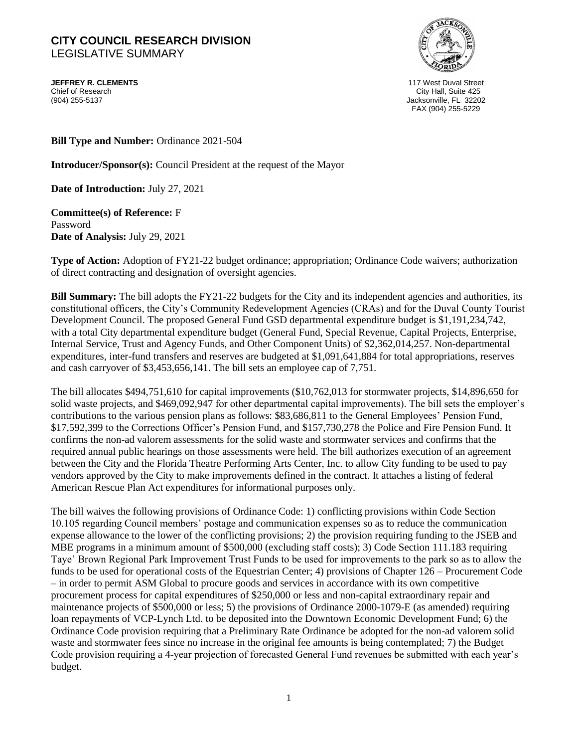## **CITY COUNCIL RESEARCH DIVISION**  LEGISLATIVE SUMMARY

**JEFFREY R. CLEMENTS** 117 West Duval Street Chief of Research City Hall, Suite 425



Jacksonville, FL 32202 FAX (904) 255-5229

**Bill Type and Number:** Ordinance 2021-504

**Introducer/Sponsor(s):** Council President at the request of the Mayor

**Date of Introduction:** July 27, 2021

**Committee(s) of Reference:** F Password **Date of Analysis:** July 29, 2021

**Type of Action:** Adoption of FY21-22 budget ordinance; appropriation; Ordinance Code waivers; authorization of direct contracting and designation of oversight agencies.

**Bill Summary:** The bill adopts the FY21-22 budgets for the City and its independent agencies and authorities, its constitutional officers, the City's Community Redevelopment Agencies (CRAs) and for the Duval County Tourist Development Council. The proposed General Fund GSD departmental expenditure budget is \$1,191,234,742, with a total City departmental expenditure budget (General Fund, Special Revenue, Capital Projects, Enterprise, Internal Service, Trust and Agency Funds, and Other Component Units) of \$2,362,014,257. Non-departmental expenditures, inter-fund transfers and reserves are budgeted at \$1,091,641,884 for total appropriations, reserves and cash carryover of \$3,453,656,141. The bill sets an employee cap of 7,751.

The bill allocates \$494,751,610 for capital improvements (\$10,762,013 for stormwater projects, \$14,896,650 for solid waste projects, and \$469,092,947 for other departmental capital improvements). The bill sets the employer's contributions to the various pension plans as follows: \$83,686,811 to the General Employees' Pension Fund, \$17,592,399 to the Corrections Officer's Pension Fund, and \$157,730,278 the Police and Fire Pension Fund. It confirms the non-ad valorem assessments for the solid waste and stormwater services and confirms that the required annual public hearings on those assessments were held. The bill authorizes execution of an agreement between the City and the Florida Theatre Performing Arts Center, Inc. to allow City funding to be used to pay vendors approved by the City to make improvements defined in the contract. It attaches a listing of federal American Rescue Plan Act expenditures for informational purposes only.

The bill waives the following provisions of Ordinance Code: 1) conflicting provisions within Code Section 10.105 regarding Council members' postage and communication expenses so as to reduce the communication expense allowance to the lower of the conflicting provisions; 2) the provision requiring funding to the JSEB and MBE programs in a minimum amount of \$500,000 (excluding staff costs); 3) Code Section 111.183 requiring Taye' Brown Regional Park Improvement Trust Funds to be used for improvements to the park so as to allow the funds to be used for operational costs of the Equestrian Center; 4) provisions of Chapter 126 – Procurement Code – in order to permit ASM Global to procure goods and services in accordance with its own competitive procurement process for capital expenditures of \$250,000 or less and non-capital extraordinary repair and maintenance projects of \$500,000 or less; 5) the provisions of Ordinance 2000-1079-E (as amended) requiring loan repayments of VCP-Lynch Ltd. to be deposited into the Downtown Economic Development Fund; 6) the Ordinance Code provision requiring that a Preliminary Rate Ordinance be adopted for the non-ad valorem solid waste and stormwater fees since no increase in the original fee amounts is being contemplated; 7) the Budget Code provision requiring a 4-year projection of forecasted General Fund revenues be submitted with each year's budget.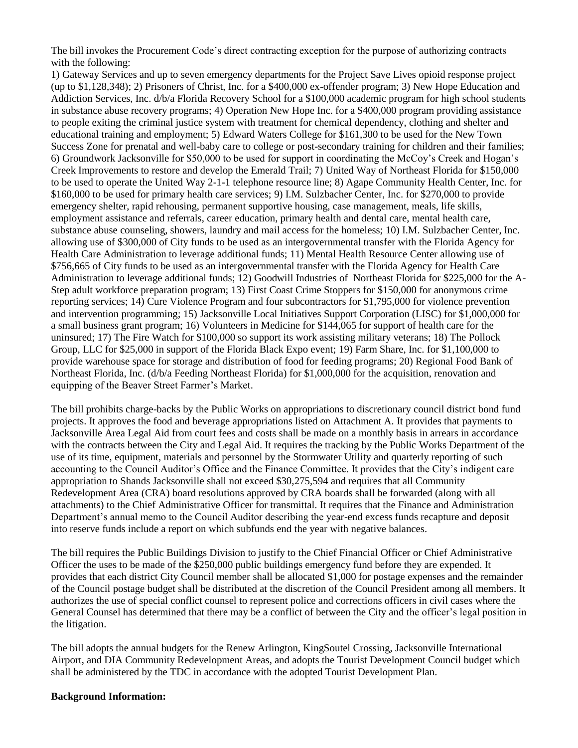The bill invokes the Procurement Code's direct contracting exception for the purpose of authorizing contracts with the following:

1) Gateway Services and up to seven emergency departments for the Project Save Lives opioid response project (up to \$1,128,348); 2) Prisoners of Christ, Inc. for a \$400,000 ex-offender program; 3) New Hope Education and Addiction Services, Inc. d/b/a Florida Recovery School for a \$100,000 academic program for high school students in substance abuse recovery programs; 4) Operation New Hope Inc. for a \$400,000 program providing assistance to people exiting the criminal justice system with treatment for chemical dependency, clothing and shelter and educational training and employment; 5) Edward Waters College for \$161,300 to be used for the New Town Success Zone for prenatal and well-baby care to college or post-secondary training for children and their families; 6) Groundwork Jacksonville for \$50,000 to be used for support in coordinating the McCoy's Creek and Hogan's Creek Improvements to restore and develop the Emerald Trail; 7) United Way of Northeast Florida for \$150,000 to be used to operate the United Way 2-1-1 telephone resource line; 8) Agape Community Health Center, Inc. for \$160,000 to be used for primary health care services; 9) I.M. Sulzbacher Center, Inc. for \$270,000 to provide emergency shelter, rapid rehousing, permanent supportive housing, case management, meals, life skills, employment assistance and referrals, career education, primary health and dental care, mental health care, substance abuse counseling, showers, laundry and mail access for the homeless; 10) I.M. Sulzbacher Center, Inc. allowing use of \$300,000 of City funds to be used as an intergovernmental transfer with the Florida Agency for Health Care Administration to leverage additional funds; 11) Mental Health Resource Center allowing use of \$756,665 of City funds to be used as an intergovernmental transfer with the Florida Agency for Health Care Administration to leverage additional funds; 12) Goodwill Industries of Northeast Florida for \$225,000 for the A-Step adult workforce preparation program; 13) First Coast Crime Stoppers for \$150,000 for anonymous crime reporting services; 14) Cure Violence Program and four subcontractors for \$1,795,000 for violence prevention and intervention programming; 15) Jacksonville Local Initiatives Support Corporation (LISC) for \$1,000,000 for a small business grant program; 16) Volunteers in Medicine for \$144,065 for support of health care for the uninsured; 17) The Fire Watch for \$100,000 so support its work assisting military veterans; 18) The Pollock Group, LLC for \$25,000 in support of the Florida Black Expo event; 19) Farm Share, Inc. for \$1,100,000 to provide warehouse space for storage and distribution of food for feeding programs; 20) Regional Food Bank of Northeast Florida, Inc. (d/b/a Feeding Northeast Florida) for \$1,000,000 for the acquisition, renovation and equipping of the Beaver Street Farmer's Market.

The bill prohibits charge-backs by the Public Works on appropriations to discretionary council district bond fund projects. It approves the food and beverage appropriations listed on Attachment A. It provides that payments to Jacksonville Area Legal Aid from court fees and costs shall be made on a monthly basis in arrears in accordance with the contracts between the City and Legal Aid. It requires the tracking by the Public Works Department of the use of its time, equipment, materials and personnel by the Stormwater Utility and quarterly reporting of such accounting to the Council Auditor's Office and the Finance Committee. It provides that the City's indigent care appropriation to Shands Jacksonville shall not exceed \$30,275,594 and requires that all Community Redevelopment Area (CRA) board resolutions approved by CRA boards shall be forwarded (along with all attachments) to the Chief Administrative Officer for transmittal. It requires that the Finance and Administration Department's annual memo to the Council Auditor describing the year-end excess funds recapture and deposit into reserve funds include a report on which subfunds end the year with negative balances.

The bill requires the Public Buildings Division to justify to the Chief Financial Officer or Chief Administrative Officer the uses to be made of the \$250,000 public buildings emergency fund before they are expended. It provides that each district City Council member shall be allocated \$1,000 for postage expenses and the remainder of the Council postage budget shall be distributed at the discretion of the Council President among all members. It authorizes the use of special conflict counsel to represent police and corrections officers in civil cases where the General Counsel has determined that there may be a conflict of between the City and the officer's legal position in the litigation.

The bill adopts the annual budgets for the Renew Arlington, KingSoutel Crossing, Jacksonville International Airport, and DIA Community Redevelopment Areas, and adopts the Tourist Development Council budget which shall be administered by the TDC in accordance with the adopted Tourist Development Plan.

## **Background Information:**